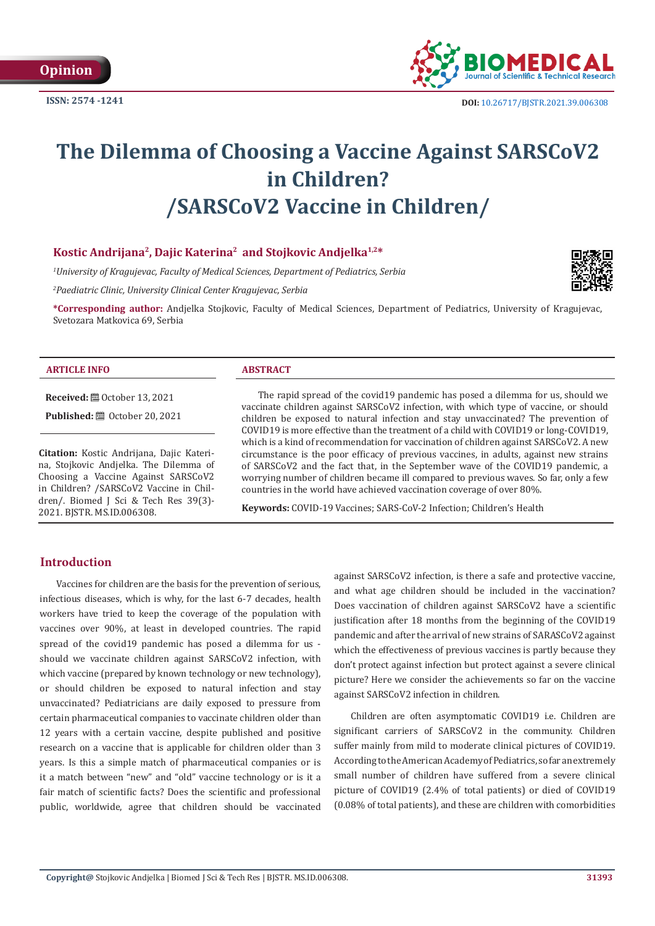

 **DOI:** [10.26717/BJSTR.2021.39.006308](https://dx.doi.org/10.26717/BJSTR.2021.39.006308)

# **The Dilemma of Choosing a Vaccine Against SARSCoV2 in Children? /SARSCoV2 Vaccine in Children/**

# **Kostic Andrijana2, Dajic Katerina2 and Stojkovic Andjelka1,2\***

*1 University of Kragujevac, Faculty of Medical Sciences, Department of Pediatrics, Serbia*

*2 Paediatric Clinic, University Clinical Center Kragujevac, Serbia*

**\*Corresponding author:** Andjelka Stojkovic, Faculty of Medical Sciences, Department of Pediatrics, University of Kragujevac, Svetozara Matkovica 69, Serbia

#### **ARTICLE INFO ABSTRACT**

**Received:** ■ October 13, 2021 **Published:** ■ October 20, 2021

**Citation:** Kostic Andrijana, Dajic Katerina, Stojkovic Andjelka. The Dilemma of Choosing a Vaccine Against SARSCoV2 in Children? /SARSCoV2 Vaccine in Children/. Biomed J Sci & Tech Res 39(3)-2021. BJSTR. MS.ID.006308.

The rapid spread of the covid19 pandemic has posed a dilemma for us, should we vaccinate children against SARSCoV2 infection, with which type of vaccine, or should children be exposed to natural infection and stay unvaccinated? The prevention of COVID19 is more effective than the treatment of a child with COVID19 or long-COVID19, which is a kind of recommendation for vaccination of children against SARSCoV2. A new circumstance is the poor efficacy of previous vaccines, in adults, against new strains of SARSCoV2 and the fact that, in the September wave of the COVID19 pandemic, a worrying number of children became ill compared to previous waves. So far, only a few countries in the world have achieved vaccination coverage of over 80%.

**Keywords:** COVID-19 Vaccines; SARS-CoV-2 Infection; Children's Health

# **Introduction**

Vaccines for children are the basis for the prevention of serious, infectious diseases, which is why, for the last 6-7 decades, health workers have tried to keep the coverage of the population with vaccines over 90%, at least in developed countries. The rapid spread of the covid19 pandemic has posed a dilemma for us should we vaccinate children against SARSCoV2 infection, with which vaccine (prepared by known technology or new technology), or should children be exposed to natural infection and stay unvaccinated? Pediatricians are daily exposed to pressure from certain pharmaceutical companies to vaccinate children older than 12 years with a certain vaccine, despite published and positive research on a vaccine that is applicable for children older than 3 years. Is this a simple match of pharmaceutical companies or is it a match between "new" and "old" vaccine technology or is it a fair match of scientific facts? Does the scientific and professional public, worldwide, agree that children should be vaccinated against SARSCoV2 infection, is there a safe and protective vaccine, and what age children should be included in the vaccination? Does vaccination of children against SARSCoV2 have a scientific justification after 18 months from the beginning of the COVID19 pandemic and after the arrival of new strains of SARASCoV2 against which the effectiveness of previous vaccines is partly because they don't protect against infection but protect against a severe clinical picture? Here we consider the achievements so far on the vaccine against SARSCoV2 infection in children.

Children are often asymptomatic COVID19 i.e. Children are significant carriers of SARSCoV2 in the community. Children suffer mainly from mild to moderate clinical pictures of COVID19. According to the American Academy of Pediatrics, so far an extremely small number of children have suffered from a severe clinical picture of COVID19 (2.4% of total patients) or died of COVID19 (0.08% of total patients), and these are children with comorbidities

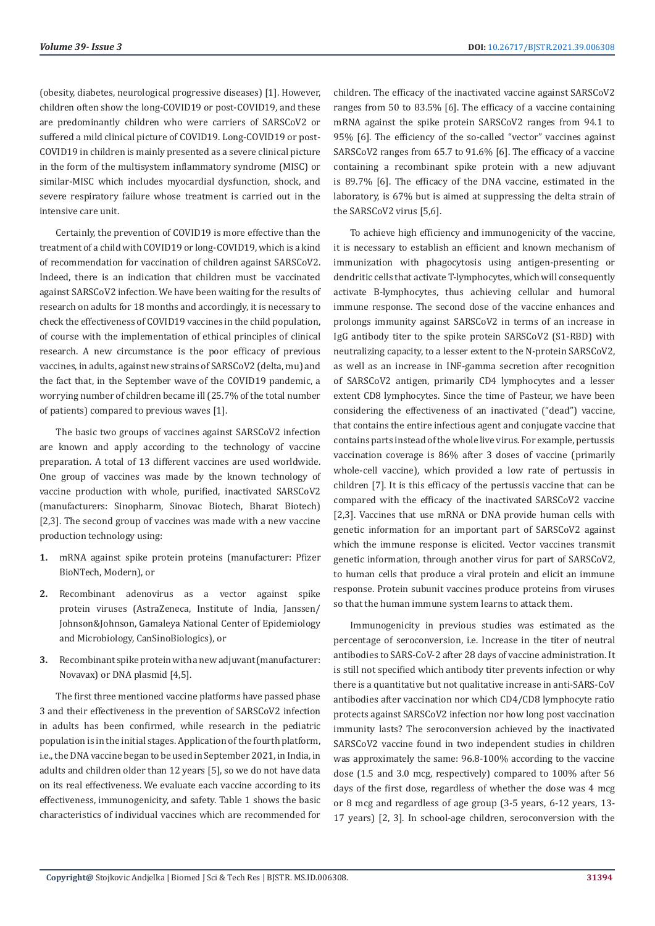(obesity, diabetes, neurological progressive diseases) [1]. However, children often show the long-COVID19 or post-COVID19, and these are predominantly children who were carriers of SARSCoV2 or suffered a mild clinical picture of COVID19. Long-COVID19 or post-COVID19 in children is mainly presented as a severe clinical picture in the form of the multisystem inflammatory syndrome (MISC) or similar-MISC which includes myocardial dysfunction, shock, and severe respiratory failure whose treatment is carried out in the intensive care unit.

Certainly, the prevention of COVID19 is more effective than the treatment of a child with COVID19 or long-COVID19, which is a kind of recommendation for vaccination of children against SARSCoV2. Indeed, there is an indication that children must be vaccinated against SARSCoV2 infection. We have been waiting for the results of research on adults for 18 months and accordingly, it is necessary to check the effectiveness of COVID19 vaccines in the child population, of course with the implementation of ethical principles of clinical research. A new circumstance is the poor efficacy of previous vaccines, in adults, against new strains of SARSCoV2 (delta, mu) and the fact that, in the September wave of the COVID19 pandemic, a worrying number of children became ill (25.7% of the total number of patients) compared to previous waves [1].

The basic two groups of vaccines against SARSCoV2 infection are known and apply according to the technology of vaccine preparation. A total of 13 different vaccines are used worldwide. One group of vaccines was made by the known technology of vaccine production with whole, purified, inactivated SARSCoV2 (manufacturers: Sinopharm, Sinovac Biotech, Bharat Biotech) [2,3]. The second group of vaccines was made with a new vaccine production technology using:

- **1.** mRNA against spike protein proteins (manufacturer: Pfizer BioNTech, Modern), or
- **2.** Recombinant adenovirus as a vector against spike protein viruses (AstraZeneca, Institute of India, Janssen/ Johnson&Johnson, Gamaleya National Center of Epidemiology and Microbiology, CanSinoBiologics), or
- **3.** Recombinant spike protein with a new adjuvant (manufacturer: Novavax) or DNA plasmid [4,5].

The first three mentioned vaccine platforms have passed phase 3 and their effectiveness in the prevention of SARSCoV2 infection in adults has been confirmed, while research in the pediatric population is in the initial stages. Application of the fourth platform, i.e., the DNA vaccine began to be used in September 2021, in India, in adults and children older than 12 years [5], so we do not have data on its real effectiveness. We evaluate each vaccine according to its effectiveness, immunogenicity, and safety. Table 1 shows the basic characteristics of individual vaccines which are recommended for children. The efficacy of the inactivated vaccine against SARSCoV2 ranges from 50 to 83.5% [6]. The efficacy of a vaccine containing mRNA against the spike protein SARSCoV2 ranges from 94.1 to 95% [6]. The efficiency of the so-called "vector" vaccines against SARSCoV2 ranges from 65.7 to 91.6% [6]. The efficacy of a vaccine containing a recombinant spike protein with a new adjuvant is 89.7% [6]. The efficacy of the DNA vaccine, estimated in the laboratory, is 67% but is aimed at suppressing the delta strain of the SARSCoV2 virus [5,6].

To achieve high efficiency and immunogenicity of the vaccine, it is necessary to establish an efficient and known mechanism of immunization with phagocytosis using antigen-presenting or dendritic cells that activate T-lymphocytes, which will consequently activate B-lymphocytes, thus achieving cellular and humoral immune response. The second dose of the vaccine enhances and prolongs immunity against SARSCoV2 in terms of an increase in IgG antibody titer to the spike protein SARSCoV2 (S1-RBD) with neutralizing capacity, to a lesser extent to the N-protein SARSCoV2, as well as an increase in INF-gamma secretion after recognition of SARSCoV2 antigen, primarily CD4 lymphocytes and a lesser extent CD8 lymphocytes. Since the time of Pasteur, we have been considering the effectiveness of an inactivated ("dead") vaccine, that contains the entire infectious agent and conjugate vaccine that contains parts instead of the whole live virus. For example, pertussis vaccination coverage is 86% after 3 doses of vaccine (primarily whole-cell vaccine), which provided a low rate of pertussis in children [7]. It is this efficacy of the pertussis vaccine that can be compared with the efficacy of the inactivated SARSCoV2 vaccine [2,3]. Vaccines that use mRNA or DNA provide human cells with genetic information for an important part of SARSCoV2 against which the immune response is elicited. Vector vaccines transmit genetic information, through another virus for part of SARSCoV2, to human cells that produce a viral protein and elicit an immune response. Protein subunit vaccines produce proteins from viruses so that the human immune system learns to attack them.

Immunogenicity in previous studies was estimated as the percentage of seroconversion, i.e. Increase in the titer of neutral antibodies to SARS-CoV-2 after 28 days of vaccine administration. It is still not specified which antibody titer prevents infection or why there is a quantitative but not qualitative increase in anti-SARS-CoV antibodies after vaccination nor which CD4/CD8 lymphocyte ratio protects against SARSCoV2 infection nor how long post vaccination immunity lasts? The seroconversion achieved by the inactivated SARSCoV2 vaccine found in two independent studies in children was approximately the same: 96.8-100% according to the vaccine dose (1.5 and 3.0 mcg, respectively) compared to 100% after 56 days of the first dose, regardless of whether the dose was 4 mcg or 8 mcg and regardless of age group (3-5 years, 6-12 years, 13- 17 years) [2, 3]. In school-age children, seroconversion with the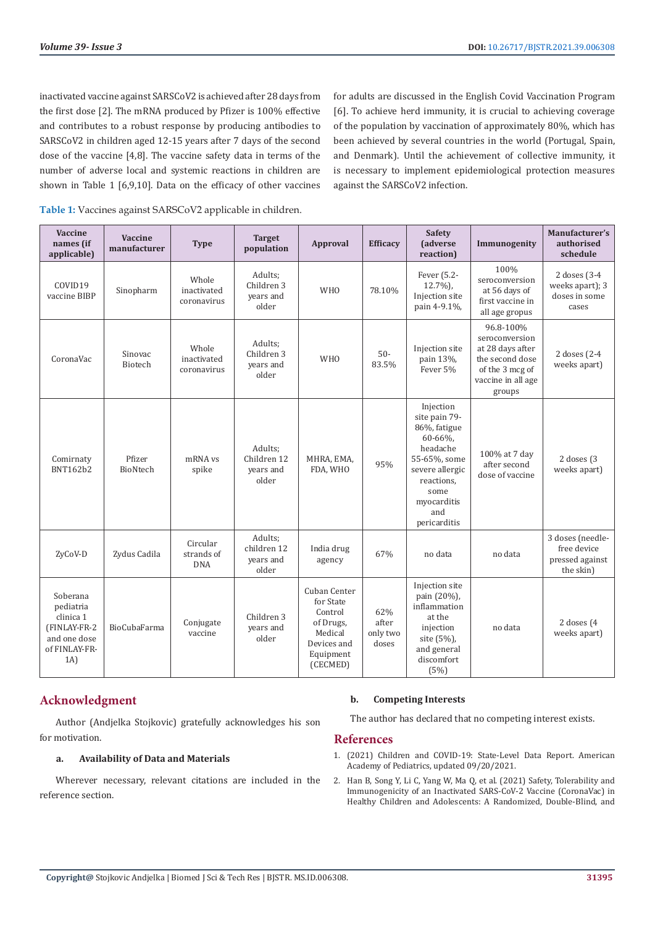inactivated vaccine against SARSCoV2 is achieved after 28 days from the first dose [2]. The mRNA produced by Pfizer is 100% effective and contributes to a robust response by producing antibodies to SARSCoV2 in children aged 12-15 years after 7 days of the second dose of the vaccine [4,8]. The vaccine safety data in terms of the number of adverse local and systemic reactions in children are shown in Table 1 [6,9,10]. Data on the efficacy of other vaccines for adults are discussed in the English Covid Vaccination Program [6]. To achieve herd immunity, it is crucial to achieving coverage of the population by vaccination of approximately 80%, which has been achieved by several countries in the world (Portugal, Spain, and Denmark). Until the achievement of collective immunity, it is necessary to implement epidemiological protection measures against the SARSCoV2 infection.

**Table 1:** Vaccines against SARSCoV2 applicable in children.

| Vaccine<br>names (if<br>applicable)                                                        | <b>Vaccine</b><br>manufacturer | <b>Type</b>                          | <b>Target</b><br>population                  | <b>Approval</b>                                                                                      | <b>Efficacy</b>                   | <b>Safety</b><br>(adverse<br>reaction)                                                                                                                           | Immunogenity                                                                                                          | Manufacturer's<br>authorised<br>schedule                        |
|--------------------------------------------------------------------------------------------|--------------------------------|--------------------------------------|----------------------------------------------|------------------------------------------------------------------------------------------------------|-----------------------------------|------------------------------------------------------------------------------------------------------------------------------------------------------------------|-----------------------------------------------------------------------------------------------------------------------|-----------------------------------------------------------------|
| COVID19<br>vaccine BIBP                                                                    | Sinopharm                      | Whole<br>inactivated<br>coronavirus  | Adults;<br>Children 3<br>years and<br>older  | <b>WHO</b>                                                                                           | 78.10%                            | Fever (5.2-<br>$12.7\%$ ),<br>Injection site<br>pain 4-9.1%,                                                                                                     | 100%<br>seroconversion<br>at 56 days of<br>first vaccine in<br>all age gropus                                         | 2 doses (3-4<br>weeks apart); 3<br>doses in some<br>cases       |
| CoronaVac                                                                                  | Sinovac<br>Biotech             | Whole<br>inactivated<br>coronavirus  | Adults;<br>Children 3<br>years and<br>older  | <b>WHO</b>                                                                                           | $50-$<br>83.5%                    | Injection site<br>pain 13%,<br>Fever 5%                                                                                                                          | 96.8-100%<br>seroconversion<br>at 28 days after<br>the second dose<br>of the 3 mcg of<br>vaccine in all age<br>groups | 2 doses (2-4<br>weeks apart)                                    |
| Comirnaty<br>BNT162b2                                                                      | Pfizer<br>BioNtech             | mRNA vs<br>spike                     | Adults;<br>Children 12<br>vears and<br>older | MHRA, EMA,<br>FDA, WHO                                                                               | 95%                               | Injection<br>site pain 79-<br>86%, fatigue<br>60-66%,<br>headache<br>55-65%, some<br>severe allergic<br>reactions,<br>some<br>myocarditis<br>and<br>pericarditis | 100% at 7 day<br>after second<br>dose of vaccine                                                                      | 2 doses (3)<br>weeks apart)                                     |
| ZyCoV-D                                                                                    | Zydus Cadila                   | Circular<br>strands of<br><b>DNA</b> | Adults;<br>children 12<br>years and<br>older | India drug<br>agency                                                                                 | 67%                               | no data                                                                                                                                                          | no data                                                                                                               | 3 doses (needle-<br>free device<br>pressed against<br>the skin) |
| Soberana<br>pediatria<br>clinica 1<br>(FINLAY-FR-2<br>and one dose<br>of FINLAY-FR-<br>1A) | BioCubaFarma                   | Conjugate<br>vaccine                 | Children 3<br>years and<br>older             | Cuban Center<br>for State<br>Control<br>of Drugs,<br>Medical<br>Devices and<br>Equipment<br>(CECMED) | 62%<br>after<br>only two<br>doses | Injection site<br>pain (20%),<br>inflammation<br>at the<br>injection<br>site (5%),<br>and general<br>discomfort<br>(5%)                                          | no data                                                                                                               | 2 doses $(4)$<br>weeks apart)                                   |

# **Acknowledgment**

Author (Andjelka Stojkovic) gratefully acknowledges his son for motivation.

### **a. Availability of Data and Materials**

Wherever necessary, relevant citations are included in the reference section.

### **b. Competing Interests**

The author has declared that no competing interest exists.

# **References**

- 1. [\(2021\) Children and COVID-19: State-Level Data Report. American](file:///F:/Journals/BJSTR.MS.ID.006308-SI/BJSTR-CLI-21-OP-247_W_SI/BJSTR-CLI-21-OP-247_W_SI/[2021] Children and COVID-19: State-Level Data Report. American Academy of Pediatrics, updated 09/20/2021) [Academy of Pediatrics, updated 09/20/2021.](file:///F:/Journals/BJSTR.MS.ID.006308-SI/BJSTR-CLI-21-OP-247_W_SI/BJSTR-CLI-21-OP-247_W_SI/[2021] Children and COVID-19: State-Level Data Report. American Academy of Pediatrics, updated 09/20/2021)
- 2. [Han B, Song Y, Li C, Yang W, Ma Q, et al. \(2021\) Safety, Tolerability and](https://pubmed.ncbi.nlm.nih.gov/34197764/) [Immunogenicity of an Inactivated SARS-CoV-2 Vaccine \(CoronaVac\) in](https://pubmed.ncbi.nlm.nih.gov/34197764/) [Healthy Children and Adolescents: A Randomized, Double-Blind, and](https://pubmed.ncbi.nlm.nih.gov/34197764/)